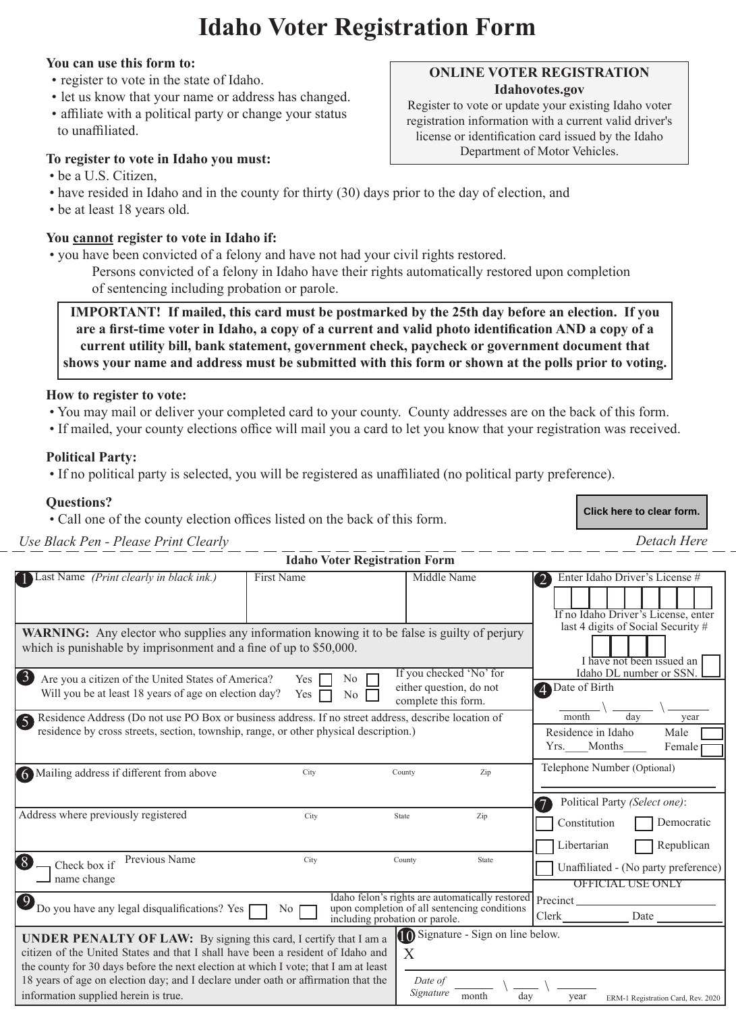# **Idaho Voter Registration Form**

#### **You can use this form to:**

- register to vote in the state of Idaho.
- let us know that your name or address has changed.
- affiliate with a political party or change your status to unaffiliated.

#### **To register to vote in Idaho you must:**

- be a U.S. Citizen,
- have resided in Idaho and in the county for thirty (30) days prior to the day of election, and
- be at least 18 years old.

#### **You cannot register to vote in Idaho if:**

- you have been convicted of a felony and have not had your civil rights restored.
	- Persons convicted of a felony in Idaho have their rights automatically restored upon completion of sentencing including probation or parole.

**IMPORTANT! If mailed, this card must be postmarked by the 25th day before an election. If you are a first-time voter in Idaho, a copy of a current and valid photo identification AND a copy of a current utility bill, bank statement, government check, paycheck or government document that shows your name and address must be submitted with this form or shown at the polls prior to voting.**

#### **How to register to vote:**

- You may mail or deliver your completed card to your county. County addresses are on the back of this form.
- If mailed, your county elections office will mail you a card to let you know that your registration was received.

#### **Political Party:**

• If no political party is selected, you will be registered as unaffiliated (no political party preference).

#### **Questions?**

• Call one of the county election offices listed on the back of this form.

*Use Black Pen - Please Print Clearly Detach Here*

**Idaho Voter Registration Form**

| <b>Last Name</b> (Print clearly in black ink.)                                                                                                                                                                                                                                                                                                                                  | First Name                                                      | Middle Name                                                                                                                       |       | Enter Idaho Driver's License #<br>$\boxed{2}$                                                              |
|---------------------------------------------------------------------------------------------------------------------------------------------------------------------------------------------------------------------------------------------------------------------------------------------------------------------------------------------------------------------------------|-----------------------------------------------------------------|-----------------------------------------------------------------------------------------------------------------------------------|-------|------------------------------------------------------------------------------------------------------------|
|                                                                                                                                                                                                                                                                                                                                                                                 |                                                                 |                                                                                                                                   |       | If no Idaho Driver's License, enter                                                                        |
| <b>WARNING:</b> Any elector who supplies any information knowing it to be false is guilty of perjury<br>which is punishable by imprisonment and a fine of up to \$50,000.                                                                                                                                                                                                       | last 4 digits of Social Security #<br>I have not been issued an |                                                                                                                                   |       |                                                                                                            |
| 6<br>Are you a citizen of the United States of America?<br>Will you be at least 18 years of age on election day?                                                                                                                                                                                                                                                                | No<br>Yes<br>Yes<br>No                                          | If you checked 'No' for<br>either question, do not<br>complete this form.                                                         |       | Idaho DL number or SSN.<br>Date of Birth<br>$\blacktriangleleft$                                           |
| S Residence Address (Do not use PO Box or business address. If no street address, describe location of<br>residence by cross streets, section, township, range, or other physical description.)                                                                                                                                                                                 |                                                                 |                                                                                                                                   |       | month<br>dav<br>year<br>Residence in Idaho<br>Male<br>Months<br>Yrs.<br>Female                             |
| 6 Mailing address if different from above                                                                                                                                                                                                                                                                                                                                       | City                                                            | County                                                                                                                            | Zip   | Telephone Number (Optional)                                                                                |
| Address where previously registered                                                                                                                                                                                                                                                                                                                                             | City                                                            | State                                                                                                                             | Zip   | Political Party (Select one):<br>$\overline{7}$<br>Constitution<br>Democratic<br>Republican<br>Libertarian |
| Previous Name<br>8<br>Check box if<br>name change                                                                                                                                                                                                                                                                                                                               | City                                                            | County                                                                                                                            | State | Unaffiliated - (No party preference)<br><b>OFFICIAL USE ONLY</b>                                           |
| $\mathbf{O}_{\text{Do you have any legal disqualifications? Yes}}$                                                                                                                                                                                                                                                                                                              | N <sub>o</sub>                                                  | Idaho felon's rights are automatically restored<br>upon completion of all sentencing conditions<br>including probation or parole. |       | Precinct<br>Clerk<br>Date                                                                                  |
| <b>UNDER PENALTY OF LAW:</b> By signing this card, I certify that I am a<br>citizen of the United States and that I shall have been a resident of Idaho and<br>the county for 30 days before the next election at which I vote; that I am at least<br>18 years of age on election day; and I declare under oath or affirmation that the<br>information supplied herein is true. |                                                                 | Signature - Sign on line below.<br>X<br>Date of<br>Signature<br>month                                                             | dav   | year<br>ERM-1 Registration Card, Rev. 2020                                                                 |

## **ONLINE VOTER REGISTRATION Idahovotes.gov**

Register to vote or update your existing Idaho voter registration information with a current valid driver's license or identification card issued by the Idaho Department of Motor Vehicles.

**Click here to clear form.**